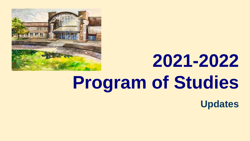

# **2021-2022 Program of Studies**

**Updates**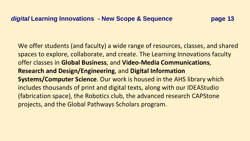We offer students (and faculty) a wide range of resources, classes, and shared spaces to explore, collaborate, and create. The Learning Innovations faculty offer classes in **Global Business**, and **Video-Media Communications**, **Research and Design/Engineering**, and **Digital Information Systems/Computer Science**. Our work is housed in the AHS library which includes thousands of print and digital texts, along with our IDEAStudio (fabrication space), the Robotics club, the advanced research CAPStone projects, and the Global Pathways Scholars program.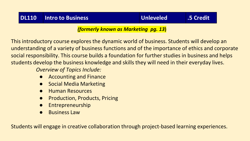#### **DL110 Intro to Business Unleveled .5 Credit**

*(formerly known as Marketing pg. 13***)**

This introductory course explores the dynamic world of business. Students will develop an understanding of a variety of business functions and of the importance of ethics and corporate social responsibility. This course builds a foundation for further studies in business and helps students develop the business knowledge and skills they will need in their everyday lives.

*Overview of Topics Include:*

- **Accounting and Finance**
- **Social Media Marketing**
- **Human Resources**
- **Production, Products, Pricing**
- **Entrepreneurship**
- **Business Law**

Students will engage in creative collaboration through project-based learning experiences.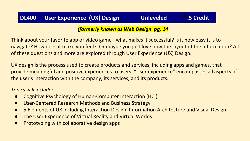### **DL400 User Experience (UX) Design Unleveled .5 Credit**

#### *(formerly known as Web Design pg, 14*

Think about your favorite app or video game - what makes it successful? Is it how easy it is to navigate? How does it make you feel? Or maybe you just love how the layout of the information? All of these questions and more are explored through User Experience (UX) Design.

UX design is the process used to create products and services, including apps and games, that provide meaningful and positive experiences to users. "User experience" encompasses all aspects of the user's interaction with the company, its services, and its products.

#### *Topics will include:*

- Cognitive Psychology of Human-Computer Interaction (HCI)
- User-Centered Research Methods and Business Strategy
- 5 Elements of UX including Interaction Design, Information Architecture and Visual Design
- The User Experience of Virtual Reality and Virtual Worlds
- Prototyping with collaborative design apps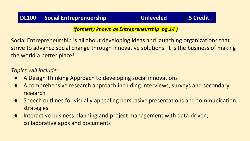#### **DL100 Social Entreprenuership Unleveled .5 Credit**

*(formerly known as Entrepreneurship pg.14 )*

Social Entrepreneurship is all about developing ideas and launching organizations that strive to advance social change through innovative solutions. It is the business of making the world a better place!

#### *Topics will include:*

- A Design Thinking Approach to developing social innovations
- A comprehensive research approach including interviews, surveys and secondary research
- Speech outlines for visually appealing persuasive presentations and communication strategies
- Interactive business planning and project management with data-driven, collaborative apps and documents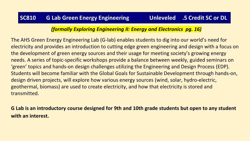#### *(formally Exploring Engineering II: Energy and Electronics pg. 16)*

The AHS Green Energy Engineering Lab (G-lab) enables students to dig into our world's need for electricity and provides an introduction to cutting edge green engineering and design with a focus on the development of green energy sources and their usage for meeting society's growing energy needs. A series of topic-specific workshops provide a balance between weekly, guided seminars on 'green' topics and hands-on design challenges utilizing the Engineering and Design Process (EDP). Students will become familiar with the [Global Goals for Sustainable Development t](https://www.globalgoals.org/)hrough hands-on, design driven projects, will explore how various energy sources (wind, solar, hydro-electric, geothermal, biomass) are used to create electricity, and how that electricity is stored and transmitted.

**G Lab is an introductory course designed for 9th and 10th grade students but open to any student with an interest.**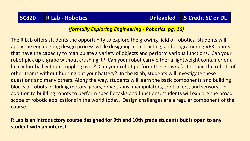#### *(formally Exploring Engineering - Robotics pg. 16)*

The R Lab offers students the opportunity to explore the growing field of robotics. Students will apply the engineering design process while designing, constructing, and programming VEX robots that have the capacity to manipulate a variety of objects and perform various functions. Can your robot pick up a grape without crushing it? Can your robot carry either a lightweight container or a heavy football without toppling over? Can your robot perform these tasks faster than the robots of other teams without burning out your battery? In the RLab, students will investigate these questions and many others. Along the way, students will learn the basic components and building blocks of robots including motors, gears, drive trains, manipulators, controllers, and sensors. In addition to building robots to perform specific tasks and functions, students will explore the broad scope of robotic applications in the world today. Design challenges are a regular component of the course.

**R Lab is an introductory course designed for 9th and 10th grade students but is open to any student with an interest.**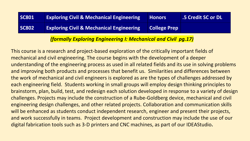| <b>SC801</b> | <b>Exploring Civil &amp; Mechanical Engineering</b> | <b>Honors</b>       | <b>.5 Credit SC or DL</b> |
|--------------|-----------------------------------------------------|---------------------|---------------------------|
| <b>SC802</b> | <b>Exploring Civil &amp; Mechanical Engineering</b> | <b>College Prep</b> |                           |

#### *(formally Exploring Engineering I: Mechanical and Civil pg.17)*

This course is a research and project-based exploration of the critically important fields of mechanical and civil engineering. The course begins with the development of a deeper understanding of the engineering process as used in all related fields and its use in solving problems and improving both products and processes that benefit us. Similarities and differences between the work of mechanical and civil engineers is explored as are the types of challenges addressed by each engineering field. Students working in small groups will employ design thinking principles to brainstorm, plan, build, test, and redesign each solution developed in response to a variety of design challenges. Projects may include the construction of a Rube-Goldberg device, mechanical and civil engineering design challenges, and other related projects. Collaboration and communication skills will be enhanced as students conduct independent research, engineer and present their projects, and work successfully in teams. Project development and construction may include the use of our digital fabrication tools such as 3-D printers and CNC machines, as part of our IDEAStudio**.**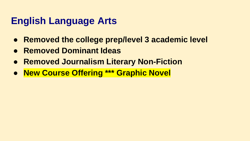## **English Language Arts**

- **Removed the college prep/level 3 academic level**
- **Removed Dominant Ideas**
- **Removed Journalism Literary Non-Fiction**
- **New Course Offering \*\*\* Graphic Novel**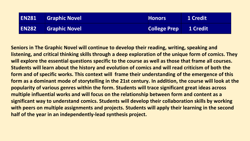| <b>EN281</b> | <b>Graphic Novel</b> | <b>Honors</b>                | 1 Credit |
|--------------|----------------------|------------------------------|----------|
| <b>EN282</b> | <b>Graphic Novel</b> | <b>College Prep</b> 1 Credit |          |

**Seniors in The Graphic Novel will continue to develop their reading, writing, speaking and listening, and critical thinking skills through a deep exploration of the unique form of comics. They will explore the essential questions specific to the course as well as those that frame all courses. Students will learn about the history and evolution of comics and will read criticism of both the form and of specific works. This context will frame their understanding of the emergence of this form as a dominant mode of storytelling in the 21st century. In addition, the course will look at the popularity of various genres within the form. Students will trace significant great ideas across multiple influential works and will focus on the relationship between form and content as a significant way to understand comics. Students will develop their collaboration skills by working with peers on multiple assignments and projects. Students will apply their learning in the second half of the year in an independently-lead synthesis project.**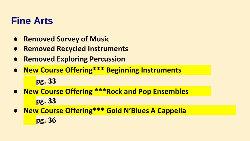### **Fine Arts**

- **Removed Survey of Music**
- **Removed Recycled Instruments**
- **Removed Exploring Percussion**
- **New Course Offering\*\*\* Beginning Instruments**

**pg. 33**

- **New Course Offering \*\*\*Rock and Pop Ensembles pg. 33**
- **New Course Offering\*\*\* Gold N'Blues A Cappella pg. 36**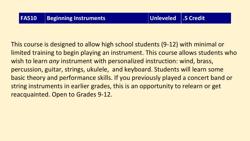This course is designed to allow high school students (9-12) with minimal or limited training to begin playing an instrument. This course allows students who wish to learn *any* instrument with personalized instruction: wind, brass, percussion, guitar, strings, ukulele, and keyboard. Students will learn some basic theory and performance skills. If you previously played a concert band or string instruments in earlier grades, this is an opportunity to relearn or get reacquainted. Open to Grades 9-12.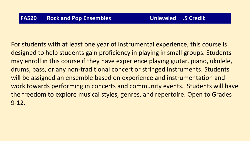For students with at least one year of instrumental experience, this course is designed to help students gain proficiency in playing in small groups. Students may enroll in this course if they have experience playing guitar, piano, ukulele, drums, bass, or any non-traditional concert or stringed instruments. Students will be assigned an ensemble based on experience and instrumentation and work towards performing in concerts and community events. Students will have the freedom to explore musical styles, genres, and repertoire. Open to Grades 9-12.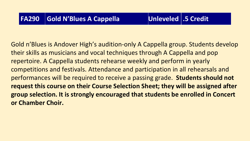Gold n'Blues is Andover High's audition-only A Cappella group. Students develop their skills as musicians and vocal techniques through A Cappella and pop repertoire. A Cappella students rehearse weekly and perform in yearly competitions and festivals. Attendance and participation in all rehearsals and performances will be required to receive a passing grade. **Students should not request this course on their Course Selection Sheet; they will be assigned after group selection. It is strongly encouraged that students be enrolled in Concert or Chamber Choir.**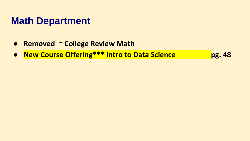### **Math Department**

- **Removed ~ College Review Math**
- **New Course Offering\*\*\* Intro to Data Science by Parage Press, 48**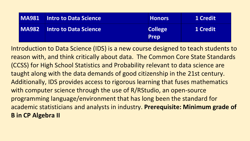| <b>MA981</b> Intro to Data Science | <b>Honors</b>                 | 1 Credit |
|------------------------------------|-------------------------------|----------|
| <b>MA982</b> Intro to Data Science | <b>College</b><br><b>Prep</b> | 1 Credit |

Introduction to Data Science (IDS) is a new course designed to teach students to reason with, and think critically about data. The Common Core State Standards (CCSS) for High School Statistics and Probability relevant to data science are taught along with the data demands of good citizenship in the 21st century. Additionally, IDS provides access to rigorous learning that fuses mathematics with computer science through the use of R/RStudio, an open-source programming language/environment that has long been the standard for academic statisticians and analysts in industry. **Prerequisite: Minimum grade of B in CP Algebra II**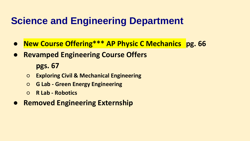### **Science and Engineering Department**

- **New Course Offering\*\*\* AP Physic C Mechanics pg. 66**
- **Revamped Engineering Course Offers**

**pgs. 67**

- **Exploring Civil & Mechanical Engineering**
- **G Lab - Green Energy Engineering**
- **R Lab - Robotics**
- **Removed Engineering Externship**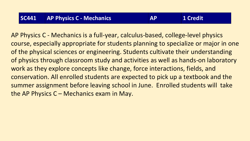AP Physics C - Mechanics is a full-year, calculus-based, college-level physics course, especially appropriate for students planning to specialize or major in one of the physical sciences or engineering. Students cultivate their understanding of physics through classroom study and activities as well as hands-on laboratory work as they explore concepts like change, force interactions, fields, and conservation. All enrolled students are expected to pick up a textbook and the summer assignment before leaving school in June. Enrolled students will take the AP Physics  $C -$  Mechanics exam in May.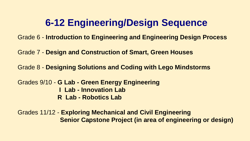### **6-12 Engineering/Design Sequence**

Grade 6 - **Introduction to Engineering and Engineering Design Process**

Grade 7 - **Design and Construction of Smart, Green Houses**

Grade 8 - **Designing Solutions and Coding with Lego Mindstorms**

Grades 9/10 - **G Lab - Green Energy Engineering I Lab - Innovation Lab R Lab - Robotics Lab**

Grades 11/12 - **Exploring Mechanical and Civil Engineering Senior Capstone Project (in area of engineering or design)**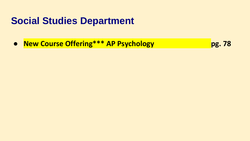### **Social Studies Department**

● **New Course Offering\*\*\* AP Psychology pg. 78**